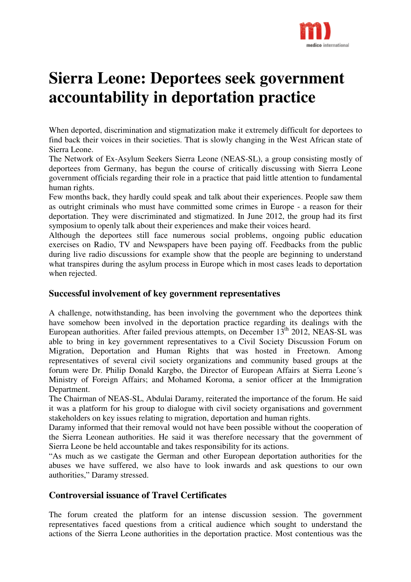

# **Sierra Leone: Deportees seek government accountability in deportation practice**

When deported, discrimination and stigmatization make it extremely difficult for deportees to find back their voices in their societies. That is slowly changing in the West African state of Sierra Leone.

The Network of Ex-Asylum Seekers Sierra Leone (NEAS-SL), a group consisting mostly of deportees from Germany, has begun the course of critically discussing with Sierra Leone government officials regarding their role in a practice that paid little attention to fundamental human rights.

Few months back, they hardly could speak and talk about their experiences. People saw them as outright criminals who must have committed some crimes in Europe - a reason for their deportation. They were discriminated and stigmatized. In June 2012, the group had its first symposium to openly talk about their experiences and make their voices heard.

Although the deportees still face numerous social problems, ongoing public education exercises on Radio, TV and Newspapers have been paying off. Feedbacks from the public during live radio discussions for example show that the people are beginning to understand what transpires during the asylum process in Europe which in most cases leads to deportation when rejected.

### **Successful involvement of key government representatives**

A challenge, notwithstanding, has been involving the government who the deportees think have somehow been involved in the deportation practice regarding its dealings with the European authorities. After failed previous attempts, on December  $13<sup>th</sup>$  2012, NEAS-SL was able to bring in key government representatives to a Civil Society Discussion Forum on Migration, Deportation and Human Rights that was hosted in Freetown. Among representatives of several civil society organizations and community based groups at the forum were Dr. Philip Donald Kargbo, the Director of European Affairs at Sierra Leone´s Ministry of Foreign Affairs; and Mohamed Koroma, a senior officer at the Immigration Department.

The Chairman of NEAS-SL, Abdulai Daramy, reiterated the importance of the forum. He said it was a platform for his group to dialogue with civil society organisations and government stakeholders on key issues relating to migration, deportation and human rights.

Daramy informed that their removal would not have been possible without the cooperation of the Sierra Leonean authorities. He said it was therefore necessary that the government of Sierra Leone be held accountable and takes responsibility for its actions.

"As much as we castigate the German and other European deportation authorities for the abuses we have suffered, we also have to look inwards and ask questions to our own authorities," Daramy stressed.

## **Controversial issuance of Travel Certificates**

The forum created the platform for an intense discussion session. The government representatives faced questions from a critical audience which sought to understand the actions of the Sierra Leone authorities in the deportation practice. Most contentious was the